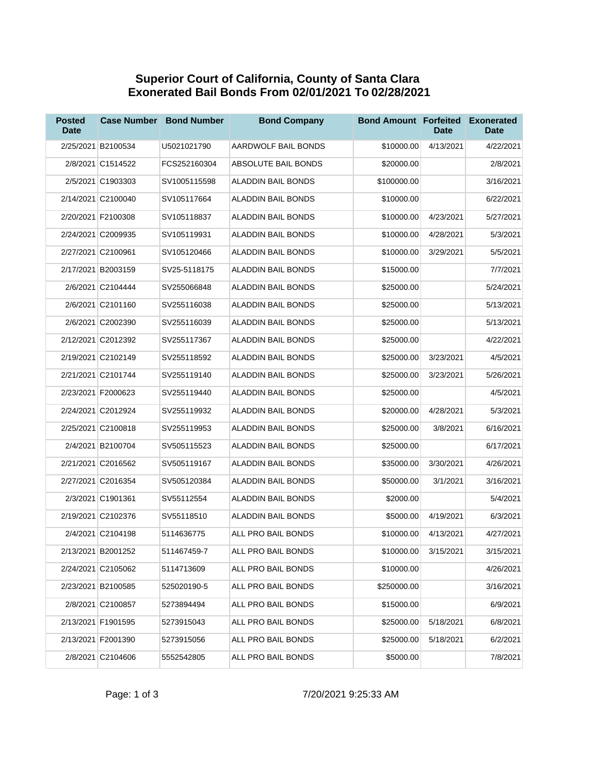## **Superior Court of California, County of Santa Clara Exonerated Bail Bonds From 02/01/2021 To 02/28/2021**

| <b>Posted</b><br><b>Date</b> | <b>Case Number</b> | <b>Bond Number</b> | <b>Bond Company</b>       | <b>Bond Amount Forfeited</b> | Date                 | <b>Exonerated</b><br><b>Date</b> |
|------------------------------|--------------------|--------------------|---------------------------|------------------------------|----------------------|----------------------------------|
|                              | 2/25/2021 B2100534 | U5021021790        | AARDWOLF BAIL BONDS       | \$10000.00                   | 4/13/2021            | 4/22/2021                        |
|                              | 2/8/2021 C1514522  | FCS252160304       | ABSOLUTE BAIL BONDS       | \$20000.00                   |                      | 2/8/2021                         |
|                              | 2/5/2021 C1903303  | SV1005115598       | ALADDIN BAIL BONDS        | \$100000.00                  |                      | 3/16/2021                        |
|                              | 2/14/2021 C2100040 | SV105117664        | ALADDIN BAIL BONDS        | \$10000.00                   |                      | 6/22/2021                        |
|                              | 2/20/2021 F2100308 | SV105118837        | ALADDIN BAIL BONDS        | \$10000.00                   | 4/23/2021            | 5/27/2021                        |
|                              | 2/24/2021 C2009935 | SV105119931        | ALADDIN BAIL BONDS        | \$10000.00                   | 4/28/2021            | 5/3/2021                         |
|                              | 2/27/2021 C2100961 | SV105120466        | ALADDIN BAIL BONDS        | \$10000.00                   | 3/29/2021            | 5/5/2021                         |
|                              | 2/17/2021 B2003159 | SV25-5118175       | ALADDIN BAIL BONDS        | \$15000.00                   |                      | 7/7/2021                         |
|                              | 2/6/2021 C2104444  | SV255066848        | ALADDIN BAIL BONDS        | \$25000.00                   |                      | 5/24/2021                        |
|                              | 2/6/2021 C2101160  | SV255116038        | <b>ALADDIN BAIL BONDS</b> | \$25000.00                   |                      | 5/13/2021                        |
|                              | 2/6/2021 C2002390  | SV255116039        | ALADDIN BAIL BONDS        | \$25000.00                   |                      | 5/13/2021                        |
|                              | 2/12/2021 C2012392 | SV255117367        | ALADDIN BAIL BONDS        | \$25000.00                   |                      | 4/22/2021                        |
|                              | 2/19/2021 C2102149 | SV255118592        | ALADDIN BAIL BONDS        | \$25000.00                   | 3/23/2021            | 4/5/2021                         |
|                              | 2/21/2021 C2101744 | SV255119140        | ALADDIN BAIL BONDS        | \$25000.00                   | 3/23/2021            | 5/26/2021                        |
|                              | 2/23/2021 F2000623 | SV255119440        | <b>ALADDIN BAIL BONDS</b> | \$25000.00                   |                      | 4/5/2021                         |
|                              | 2/24/2021 C2012924 | SV255119932        | ALADDIN BAIL BONDS        | \$20000.00                   | 4/28/2021            | 5/3/2021                         |
|                              | 2/25/2021 C2100818 | SV255119953        | ALADDIN BAIL BONDS        | \$25000.00                   | 3/8/2021             | 6/16/2021                        |
|                              | 2/4/2021 B2100704  | SV505115523        | ALADDIN BAIL BONDS        | \$25000.00                   |                      | 6/17/2021                        |
|                              | 2/21/2021 C2016562 | SV505119167        | ALADDIN BAIL BONDS        | \$35000.00                   | 3/30/2021            | 4/26/2021                        |
|                              | 2/27/2021 C2016354 | SV505120384        | ALADDIN BAIL BONDS        | \$50000.00                   | 3/1/2021             | 3/16/2021                        |
|                              | 2/3/2021 C1901361  | SV55112554         | ALADDIN BAIL BONDS        | \$2000.00                    |                      | 5/4/2021                         |
|                              | 2/19/2021 C2102376 | SV55118510         | ALADDIN BAIL BONDS        | \$5000.00                    | 4/19/2021            | 6/3/2021                         |
|                              | 2/4/2021 C2104198  | 5114636775         | ALL PRO BAIL BONDS        | \$10000.00                   | 4/13/2021            | 4/27/2021                        |
|                              | 2/13/2021 B2001252 | 511467459-7        | ALL PRO BAIL BONDS        |                              | \$10000.00 3/15/2021 | 3/15/2021                        |
|                              | 2/24/2021 C2105062 | 5114713609         | ALL PRO BAIL BONDS        | \$10000.00                   |                      | 4/26/2021                        |
|                              | 2/23/2021 B2100585 | 525020190-5        | ALL PRO BAIL BONDS        | \$250000.00                  |                      | 3/16/2021                        |
|                              | 2/8/2021 C2100857  | 5273894494         | ALL PRO BAIL BONDS        | \$15000.00                   |                      | 6/9/2021                         |
|                              | 2/13/2021 F1901595 | 5273915043         | ALL PRO BAIL BONDS        | \$25000.00                   | 5/18/2021            | 6/8/2021                         |
|                              | 2/13/2021 F2001390 | 5273915056         | ALL PRO BAIL BONDS        | \$25000.00                   | 5/18/2021            | 6/2/2021                         |
|                              | 2/8/2021 C2104606  | 5552542805         | ALL PRO BAIL BONDS        | \$5000.00                    |                      | 7/8/2021                         |

## Page: 1 of 3 7/20/2021 9:25:33 AM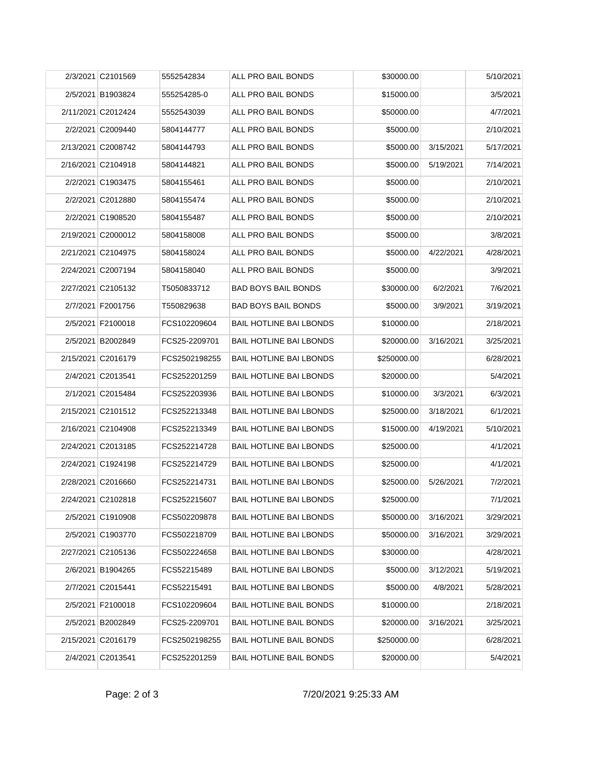| 2/3/2021 C2101569  | 5552542834    | ALL PRO BAIL BONDS             | \$30000.00  |           | 5/10/2021 |
|--------------------|---------------|--------------------------------|-------------|-----------|-----------|
| 2/5/2021 B1903824  | 555254285-0   | ALL PRO BAIL BONDS             | \$15000.00  |           | 3/5/2021  |
| 2/11/2021 C2012424 | 5552543039    | ALL PRO BAIL BONDS             | \$50000.00  |           | 4/7/2021  |
| 2/2/2021 C2009440  | 5804144777    | ALL PRO BAIL BONDS             | \$5000.00   |           | 2/10/2021 |
| 2/13/2021 C2008742 | 5804144793    | ALL PRO BAIL BONDS             | \$5000.00   | 3/15/2021 | 5/17/2021 |
| 2/16/2021 C2104918 | 5804144821    | ALL PRO BAIL BONDS             | \$5000.00   | 5/19/2021 | 7/14/2021 |
| 2/2/2021 C1903475  | 5804155461    | ALL PRO BAIL BONDS             | \$5000.00   |           | 2/10/2021 |
| 2/2/2021 C2012880  | 5804155474    | ALL PRO BAIL BONDS             | \$5000.00   |           | 2/10/2021 |
| 2/2/2021 C1908520  | 5804155487    | ALL PRO BAIL BONDS             | \$5000.00   |           | 2/10/2021 |
| 2/19/2021 C2000012 | 5804158008    | ALL PRO BAIL BONDS             | \$5000.00   |           | 3/8/2021  |
| 2/21/2021 C2104975 | 5804158024    | ALL PRO BAIL BONDS             | \$5000.00   | 4/22/2021 | 4/28/2021 |
| 2/24/2021 C2007194 | 5804158040    | ALL PRO BAIL BONDS             | \$5000.00   |           | 3/9/2021  |
| 2/27/2021 C2105132 | T5050833712   | <b>BAD BOYS BAIL BONDS</b>     | \$30000.00  | 6/2/2021  | 7/6/2021  |
| 2/7/2021 F2001756  | T550829638    | <b>BAD BOYS BAIL BONDS</b>     | \$5000.00   | 3/9/2021  | 3/19/2021 |
| 2/5/2021 F2100018  | FCS102209604  | <b>BAIL HOTLINE BAI LBONDS</b> | \$10000.00  |           | 2/18/2021 |
| 2/5/2021 B2002849  | FCS25-2209701 | <b>BAIL HOTLINE BAI LBONDS</b> | \$20000.00  | 3/16/2021 | 3/25/2021 |
| 2/15/2021 C2016179 | FCS2502198255 | <b>BAIL HOTLINE BAI LBONDS</b> | \$250000.00 |           | 6/28/2021 |
| 2/4/2021 C2013541  | FCS252201259  | <b>BAIL HOTLINE BAI LBONDS</b> | \$20000.00  |           | 5/4/2021  |
| 2/1/2021 C2015484  | FCS252203936  | <b>BAIL HOTLINE BAI LBONDS</b> | \$10000.00  | 3/3/2021  | 6/3/2021  |
| 2/15/2021 C2101512 | FCS252213348  | <b>BAIL HOTLINE BAI LBONDS</b> | \$25000.00  | 3/18/2021 | 6/1/2021  |
| 2/16/2021 C2104908 | FCS252213349  | <b>BAIL HOTLINE BAI LBONDS</b> | \$15000.00  | 4/19/2021 | 5/10/2021 |
| 2/24/2021 C2013185 | FCS252214728  | <b>BAIL HOTLINE BAI LBONDS</b> | \$25000.00  |           | 4/1/2021  |
| 2/24/2021 C1924198 | FCS252214729  | <b>BAIL HOTLINE BAI LBONDS</b> | \$25000.00  |           | 4/1/2021  |
| 2/28/2021 C2016660 | FCS252214731  | <b>BAIL HOTLINE BAI LBONDS</b> | \$25000.00  | 5/26/2021 | 7/2/2021  |
| 2/24/2021 C2102818 | FCS252215607  | <b>BAIL HOTLINE BAI LBONDS</b> | \$25000.00  |           | 7/1/2021  |
| 2/5/2021 C1910908  | FCS502209878  | <b>BAIL HOTLINE BAI LBONDS</b> | \$50000.00  | 3/16/2021 | 3/29/2021 |
| 2/5/2021 C1903770  | FCS502218709  | <b>BAIL HOTLINE BAI LBONDS</b> | \$50000.00  | 3/16/2021 | 3/29/2021 |
| 2/27/2021 C2105136 | FCS502224658  | <b>BAIL HOTLINE BAI LBONDS</b> | \$30000.00  |           | 4/28/2021 |
| 2/6/2021 B1904265  | FCS52215489   | <b>BAIL HOTLINE BAI LBONDS</b> | \$5000.00   | 3/12/2021 | 5/19/2021 |
| 2/7/2021 C2015441  | FCS52215491   | <b>BAIL HOTLINE BAI LBONDS</b> | \$5000.00   | 4/8/2021  | 5/28/2021 |
| 2/5/2021 F2100018  | FCS102209604  | <b>BAIL HOTLINE BAIL BONDS</b> | \$10000.00  |           | 2/18/2021 |
| 2/5/2021 B2002849  | FCS25-2209701 | <b>BAIL HOTLINE BAIL BONDS</b> | \$20000.00  | 3/16/2021 | 3/25/2021 |
| 2/15/2021 C2016179 | FCS2502198255 | <b>BAIL HOTLINE BAIL BONDS</b> | \$250000.00 |           | 6/28/2021 |
| 2/4/2021 C2013541  | FCS252201259  | <b>BAIL HOTLINE BAIL BONDS</b> | \$20000.00  |           | 5/4/2021  |

Page: 2 of 3 7/20/2021 9:25:33 AM